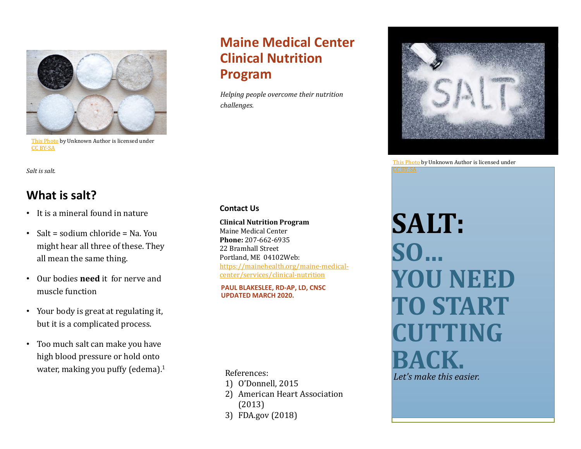

[This Photo](http://breadandoil.blogspot.com/2012/06/tomato-salad-with-jeans-salt.html) by Unknown Author is licensed under [CC BY-SA](https://creativecommons.org/licenses/by-sa/3.0/)

# **Maine Medical Center Clinical Nutrition Program**

*Helping people overcome their nutrition challenges.* 



# **What is salt?**

- It is a mineral found in nature
- Salt = sodium chloride = Na. You might hear all three of these. They all mean the same thing.
- Our bodies **need** it for nerve and muscle function
- Your body is great at regulating it, but it is a complicated process.
- Too much salt can make you have high blood pressure or hold onto water, making you puffy (edema).<sup>1</sup>

#### **Contact Us**

**Clinical Nutrition Program** Maine Medical Center **Phone:** 207-662-6935 22 Bramhall Street Portland, ME 04102Web: [https://mainehealth.org/maine-medical](https://mainehealth.org/maine-medical-center/services/clinical-nutrition)center/services/clinical-nutrition

**PAUL BLAKESLEE, RD-AP, LD, CNSC UPDATED MARCH 2020.**

- 1) O'Donnell, 2015
- 2) American Heart Association (2013)
- 3) FDA.gov (2018)

[This Photo](http://diabetesdietblog.com/2016/03/17/salt-restriction-can-backfire-for-heart-failure-patients/) by Unknown Author is licensed under C BY-SA

**SALT: SO… YOU NEED TO START CUTTING BACK.** References:<br>A References:<br>A References: